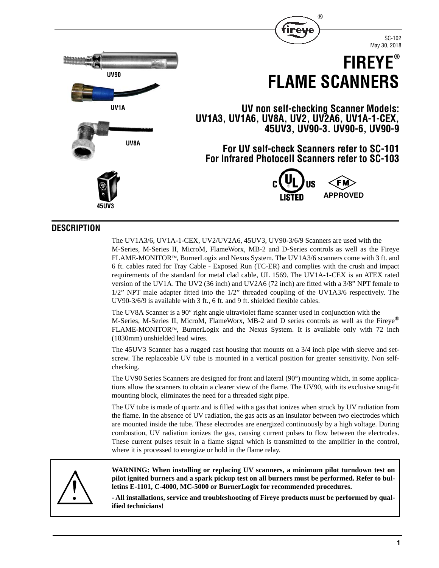

SC-102 May 30, 2018



## **DESCRIPTION**

The UV1A3/6, UV1A-1-CEX, UV2/UV2A6, 45UV3, UV90-3/6/9 Scanners are used with the M-Series, M-Series II, MicroM, FlameWorx, MB-2 and D-Series controls as well as the Fireye FLAME-MONITORTM, BurnerLogix and Nexus System. The UV1A3/6 scanners come with 3 ft. and 6 ft. cables rated for Tray Cable - Exposed Run (TC-ER) and complies with the crush and impact requirements of the standard for metal clad cable, UL 1569. The UV1A-1-CEX is an ATEX rated version of the UV1A. The UV2 (36 inch) and UV2A6 (72 inch) are fitted with a 3/8" NPT female to 1/2" NPT male adapter fitted into the 1/2" threaded coupling of the UV1A3/6 respectively. The UV90-3/6/9 is available with 3 ft., 6 ft. and 9 ft. shielded flexible cables.

The UV8A Scanner is a 90° right angle ultraviolet flame scanner used in conjunction with the M-Series, M-Series II, MicroM, FlameWorx, MB-2 and D series controls as well as the Fireye® FLAME-MONITOR<sup>TM</sup>, BurnerLogix and the Nexus System. It is available only with 72 inch (1830mm) unshielded lead wires.

The 45UV3 Scanner has a rugged cast housing that mounts on a 3/4 inch pipe with sleeve and setscrew. The replaceable UV tube is mounted in a vertical position for greater sensitivity. Non selfchecking.

The UV90 Series Scanners are designed for front and lateral (90°) mounting which, in some applications allow the scanners to obtain a clearer view of the flame. The UV90, with its exclusive snug-fit mounting block, eliminates the need for a threaded sight pipe.

The UV tube is made of quartz and is filled with a gas that ionizes when struck by UV radiation from the flame. In the absence of UV radiation, the gas acts as an insulator between two electrodes which are mounted inside the tube. These electrodes are energized continuously by a high voltage. During combustion, UV radiation ionizes the gas, causing current pulses to flow between the electrodes. These current pulses result in a flame signal which is transmitted to the amplifier in the control, where it is processed to energize or hold in the flame relay.



**WARNING: When installing or replacing UV scanners, a minimum pilot turndown test on pilot ignited burners and a spark pickup test on all burners must be performed. Refer to bulletins E-1101, C-4000, MC-5000 or BurnerLogix for recommended procedures.**

**- All installations, service and troubleshooting of Fireye products must be performed by qualified technicians!**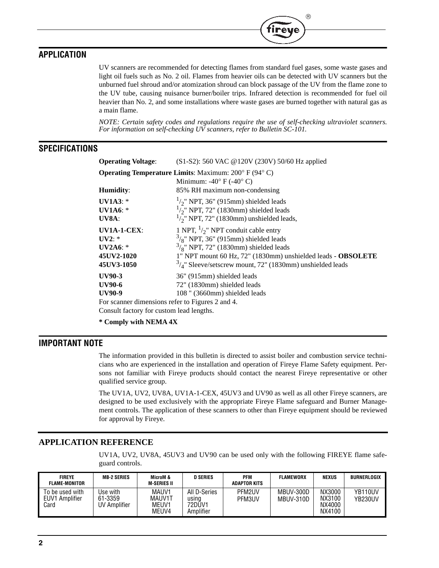# **APPLICATION**

UV scanners are recommended for detecting flames from standard fuel gases, some waste gases and light oil fuels such as No. 2 oil. Flames from heavier oils can be detected with UV scanners but the unburned fuel shroud and/or atomization shroud can block passage of the UV from the flame zone to the UV tube, causing nuisance burner/boiler trips. Infrared detection is recommended for fuel oil heavier than No. 2, and some installations where waste gases are burned together with natural gas as a main flame.

 $^{\circledR}$ 

*NOTE: Certain safety codes and regulations require the use of self-checking ultraviolet scanners. For information on self-checking UV scanners, refer to Bulletin SC-101.*

## **SPECIFICATIONS**

| <b>Operating Voltage:</b>                                                       | (S1-S2): 560 VAC @120V (230V) 50/60 Hz applied               |  |  |  |  |
|---------------------------------------------------------------------------------|--------------------------------------------------------------|--|--|--|--|
| <b>Operating Temperature Limits:</b> Maximum: $200^{\circ}$ F (94 $^{\circ}$ C) |                                                              |  |  |  |  |
|                                                                                 | Minimum: -40 $\degree$ F (-40 $\degree$ C)                   |  |  |  |  |
| Humidity:                                                                       | 85% RH maximum non-condensing                                |  |  |  |  |
| UV1A3: $*$                                                                      | $\frac{1}{2}$ NPT, 36" (915mm) shielded leads                |  |  |  |  |
| <b>UV1A6:</b> $*$                                                               | $\frac{1}{2}$ NPT, 72" (1830mm) shielded leads               |  |  |  |  |
| UV8A:                                                                           | $\frac{1}{2}$ NPT, 72" (1830mm) unshielded leads,            |  |  |  |  |
| $UV1A-1-CEX:$                                                                   | 1 NPT, $\frac{1}{2}$ NPT conduit cable entry                 |  |  |  |  |
| UV2:                                                                            | $\frac{3}{8}$ " NPT, 36" (915mm) shielded leads              |  |  |  |  |
| <b>UV2A6:</b> *                                                                 | $\frac{3}{8}$ " NPT, 72" (1830mm) shielded leads             |  |  |  |  |
| 45UV2-1020                                                                      | 1" NPT mount 60 Hz, 72" (1830mm) unshielded leads - OBSOLETE |  |  |  |  |
| 45UV3-1050                                                                      | $3/4$ " Sleeve/setscrew mount, 72" (1830mm) unshielded leads |  |  |  |  |
| UV90-3                                                                          | 36" (915mm) shielded leads                                   |  |  |  |  |
| UV90-6                                                                          | 72" (1830mm) shielded leads                                  |  |  |  |  |
| UV90-9                                                                          | 108 " (3660mm) shielded leads                                |  |  |  |  |
| For scanner dimensions refer to Figures 2 and 4.                                |                                                              |  |  |  |  |
| Consult factory for custom lead lengths.                                        |                                                              |  |  |  |  |

**\* Comply with NEMA 4X**

## **IMPORTANT NOTE**

The information provided in this bulletin is directed to assist boiler and combustion service technicians who are experienced in the installation and operation of Fireye Flame Safety equipment. Persons not familiar with Fireye products should contact the nearest Fireye representative or other qualified service group.

The UV1A, UV2, UV8A, UV1A-1-CEX, 45UV3 and UV90 as well as all other Fireye scanners, are designed to be used exclusively with the appropriate Fireye Flame safeguard and Burner Management controls. The application of these scanners to other than Fireye equipment should be reviewed for approval by Fireye.

## **APPLICATION REFERENCE**

UV1A, UV2, UV8A, 45UV3 and UV90 can be used only with the following FIREYE flame safeguard controls.

| <b>FIREYE</b><br><b>FLAME-MONITOR</b>     | <b>MB-2 SERIES</b>                  | MicroM &<br><b>M-SERIES II</b>    | D SERIES                                     | PFM<br><b>ADAPTOR KITS</b> | FLAMEWORX              | <b>NEXUS</b>                         | <b>BURNERLOGIX</b>              |
|-------------------------------------------|-------------------------------------|-----------------------------------|----------------------------------------------|----------------------------|------------------------|--------------------------------------|---------------------------------|
| To be used with<br>EUV1 Amplifier<br>Card | Use with<br>61-3359<br>UV Amplifier | MAUV1<br>MAUV1T<br>MEUV1<br>MEUV4 | All D-Series<br>using<br>72DŪV1<br>Amplifier | PFM2UV<br>PFM3UV           | MBUV-300D<br>MBUV-310D | NX3000<br>NX3100<br>NX4000<br>NX4100 | YB <sub>110</sub> UV<br>YB230UV |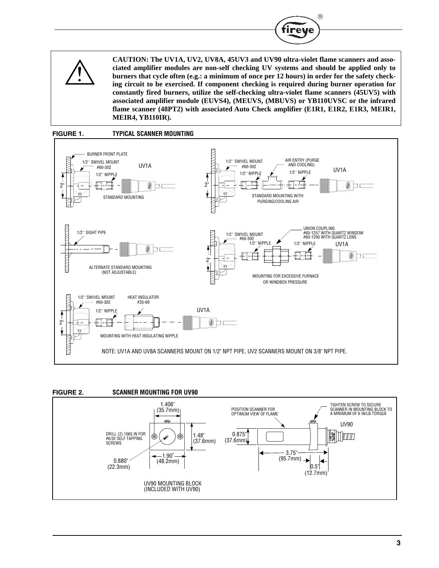



**CAUTION: The UV1A, UV2, UV8A, 45UV3 and UV90 ultra-violet flame scanners and associated amplifier modules are non-self checking UV systems and should be applied only to burners that cycle often (e.g.: a minimum of once per 12 hours) in order for the safety checking circuit to be exercised. If component checking is required during burner operation for constantly fired burners, utilize the self-checking ultra-violet flame scanners (45UV5) with associated amplifier module (EUVS4), (MEUVS, (MBUVS) or YB110UVSC or the infrared flame scanner (48PT2) with associated Auto Check amplifier (E1R1, E1R2, E1R3, MEIR1, MEIR4, YB110IR).**



### **FIGURE 2. SCANNER MOUNTING FOR UV90**

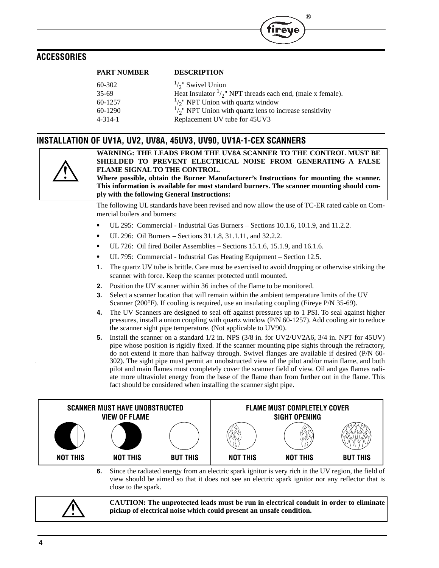## **ACCESSORIES**

| PARI NUMBER   | DESCRIPTION                                                           |
|---------------|-----------------------------------------------------------------------|
| 60-302        | $\frac{1}{2}$ Swivel Union                                            |
| $35-69$       | Heat Insulator $\frac{1}{2}$ " NPT threads each end, (male x female). |
| $60 - 1257$   | $\frac{1}{2}$ NPT Union with quartz window                            |
| $60-1290$     | $\frac{1}{2}$ NPT Union with quartz lens to increase sensitivity      |
| $4 - 314 - 1$ | Replacement UV tube for 45UV3                                         |
|               |                                                                       |

## **INSTALLATION OF UV1A, UV2, UV8A, 45UV3, UV90, UV1A-1-CEX SCANNERS**

**PART NUMBER DESCRIPTION**



**WARNING: THE LEADS FROM THE UV8A SCANNER TO THE CONTROL MUST BE SHIELDED TO PREVENT ELECTRICAL NOISE FROM GENERATING A FALSE FLAME SIGNAL TO THE CONTROL.**

R

reve

**Where possible, obtain the Burner Manufacturer's Instructions for mounting the scanner. This information is available for most standard burners. The scanner mounting should comply with the following General Instructions:**

The following UL standards have been revised and now allow the use of TC-ER rated cable on Commercial boilers and burners:

- **•** UL 295: Commercial Industrial Gas Burners Sections 10.1.6, 10.1.9, and 11.2.2.
- **•** UL 296: Oil Burners Sections 31.1.8, 31.1.11, and 32.2.2.
- **•** UL 726: Oil fired Boiler Assemblies Sections 15.1.6, 15.1.9, and 16.1.6.
- **•** UL 795: Commercial Industrial Gas Heating Equipment Section 12.5.
- **1.** The quartz UV tube is brittle. Care must be exercised to avoid dropping or otherwise striking the scanner with force. Keep the scanner protected until mounted.
- **2.** Position the UV scanner within 36 inches of the flame to be monitored.
- **3.** Select a scanner location that will remain within the ambient temperature limits of the UV Scanner (200°F). If cooling is required, use an insulating coupling (Fireye P/N 35-69).
- **4.** The UV Scanners are designed to seal off against pressures up to 1 PSI. To seal against higher pressures, install a union coupling with quartz window (P/N 60-1257). Add cooling air to reduce the scanner sight pipe temperature. (Not applicable to UV90).
- **5.** Install the scanner on a standard 1/2 in. NPS (3/8 in. for UV2/UV2A6, 3/4 in. NPT for 45UV) pipe whose position is rigidly fixed. If the scanner mounting pipe sights through the refractory, do not extend it more than halfway through. Swivel flanges are available if desired (P/N 60- 302). The sight pipe must permit an unobstructed view of the pilot and/or main flame, and both pilot and main flames must completely cover the scanner field of view. Oil and gas flames radiate more ultraviolet energy from the base of the flame than from further out in the flame. This fact should be considered when installing the scanner sight pipe.



**6.** Since the radiated energy from an electric spark ignitor is very rich in the UV region, the field of view should be aimed so that it does not see an electric spark ignitor nor any reflector that is close to the spark.



**CAUTION: The unprotected leads must be run in electrical conduit in order to eliminate pickup of electrical noise which could present an unsafe condition.**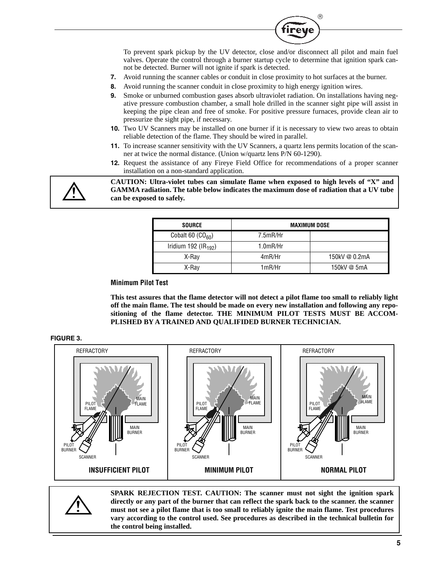

To prevent spark pickup by the UV detector, close and/or disconnect all pilot and main fuel valves. Operate the control through a burner startup cycle to determine that ignition spark cannot be detected. Burner will not ignite if spark is detected.

- **7.** Avoid running the scanner cables or conduit in close proximity to hot surfaces at the burner.
- **8.** Avoid running the scanner conduit in close proximity to high energy ignition wires.
- **9.** Smoke or unburned combustion gases absorb ultraviolet radiation. On installations having negative pressure combustion chamber, a small hole drilled in the scanner sight pipe will assist in keeping the pipe clean and free of smoke. For positive pressure furnaces, provide clean air to pressurize the sight pipe, if necessary.
- **10.** Two UV Scanners may be installed on one burner if it is necessary to view two areas to obtain reliable detection of the flame. They should be wired in parallel.
- **11.** To increase scanner sensitivity with the UV Scanners, a quartz lens permits location of the scanner at twice the normal distance. (Union w/quartz lens P/N 60-1290).
- **12.** Request the assistance of any Fireye Field Office for recommendations of a proper scanner installation on a non-standard application.

**CAUTION: Ultra-violet tubes can simulate flame when exposed to high levels of "X" and GAMMA radiation. The table below indicates the maximum dose of radiation that a UV tube can be exposed to safely.**

| <b>SOURCE</b>           | <b>MAXIMUM DOSE</b> |               |  |
|-------------------------|---------------------|---------------|--|
| Cobalt 60 $(CO60)$      | 7.5mR/Hr            |               |  |
| Iridium 192 ( $IR192$ ) | $1.0$ m $R$ /Hr     |               |  |
| X-Ray                   | 4mR/Hr              | 150kV @ 0.2mA |  |
| X-Ray                   | 1mR/Hr              | 150kV @ 5mA   |  |

### **Minimum Pilot Test**

**This test assures that the flame detector will not detect a pilot flame too small to reliably light off the main flame. The test should be made on every new installation and following any repositioning of the flame detector. THE MINIMUM PILOT TESTS MUST BE ACCOM-PLISHED BY A TRAINED AND QUALIFIDED BURNER TECHNICIAN.**





**SPARK REJECTION TEST. CAUTION: The scanner must not sight the ignition spark directly or any part of the burner that can reflect the spark back to the scanner. the scanner must not see a pilot flame that is too small to reliably ignite the main flame. Test procedures vary according to the control used. See procedures as described in the technical bulletin for the control being installed.**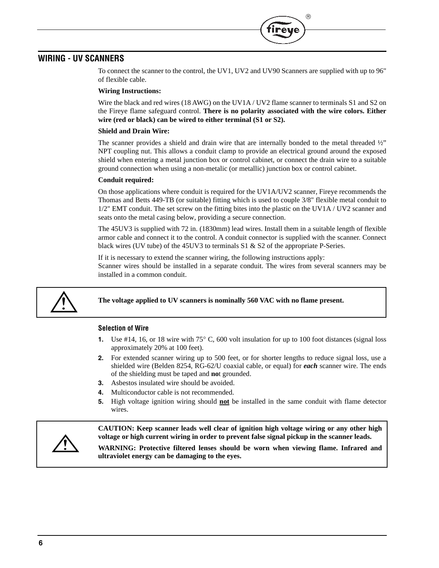# **WIRING - UV SCANNERS**

To connect the scanner to the control, the UV1, UV2 and UV90 Scanners are supplied with up to 96" of flexible cable.

(R

#### **Wiring Instructions:**

Wire the black and red wires (18 AWG) on the UV1A / UV2 flame scanner to terminals S1 and S2 on the Fireye flame safeguard control. **There is no polarity associated with the wire colors. Either wire (red or black) can be wired to either terminal (S1 or S2).**

#### **Shield and Drain Wire:**

The scanner provides a shield and drain wire that are internally bonded to the metal threaded  $\frac{1}{2}$ " NPT coupling nut. This allows a conduit clamp to provide an electrical ground around the exposed shield when entering a metal junction box or control cabinet, or connect the drain wire to a suitable ground connection when using a non-metalic (or metallic) junction box or control cabinet.

#### **Conduit required:**

On those applications where conduit is required for the UV1A/UV2 scanner, Fireye recommends the Thomas and Betts 449-TB (or suitable) fitting which is used to couple 3/8" flexible metal conduit to 1/2" EMT conduit. The set screw on the fitting bites into the plastic on the UV1A / UV2 scanner and seats onto the metal casing below, providing a secure connection.

The 45UV3 is supplied with 72 in. (1830mm) lead wires. Install them in a suitable length of flexible armor cable and connect it to the control. A conduit connector is supplied with the scanner. Connect black wires (UV tube) of the 45UV3 to terminals  $S1 \& S2$  of the appropriate P-Series.

If it is necessary to extend the scanner wiring, the following instructions apply: Scanner wires should be installed in a separate conduit. The wires from several scanners may be installed in a common conduit.



#### **The voltage applied to UV scanners is nominally 560 VAC with no flame present.**

#### **Selection of Wire**

- **1.** Use #14, 16, or 18 wire with 75° C, 600 volt insulation for up to 100 foot distances (signal loss approximately 20% at 100 feet).
- **2.** For extended scanner wiring up to 500 feet, or for shorter lengths to reduce signal loss, use a shielded wire (Belden 8254, RG-62/U coaxial cable, or equal) for *each* scanner wire. The ends of the shielding must be taped and **no**t grounded.
- **3.** Asbestos insulated wire should be avoided.
- **4.** Multiconductor cable is not recommended.
- **5.** High voltage ignition wiring should **not** be installed in the same conduit with flame detector wires.



**CAUTION: Keep scanner leads well clear of ignition high voltage wiring or any other high voltage or high current wiring in order to prevent false signal pickup in the scanner leads.**

**WARNING: Protective filtered lenses should be worn when viewing flame. Infrared and ultraviolet energy can be damaging to the eyes.**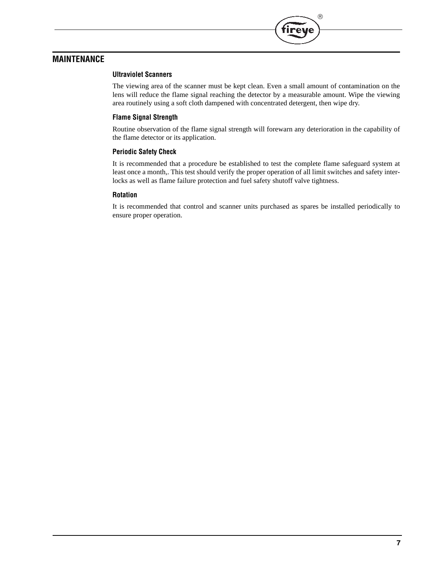

# **MAINTENANCE**

#### **Ultraviolet Scanners**

The viewing area of the scanner must be kept clean. Even a small amount of contamination on the lens will reduce the flame signal reaching the detector by a measurable amount. Wipe the viewing area routinely using a soft cloth dampened with concentrated detergent, then wipe dry.

#### **Flame Signal Strength**

Routine observation of the flame signal strength will forewarn any deterioration in the capability of the flame detector or its application.

### **Periodic Safety Check**

It is recommended that a procedure be established to test the complete flame safeguard system at least once a month,. This test should verify the proper operation of all limit switches and safety interlocks as well as flame failure protection and fuel safety shutoff valve tightness.

### **Rotation**

It is recommended that control and scanner units purchased as spares be installed periodically to ensure proper operation.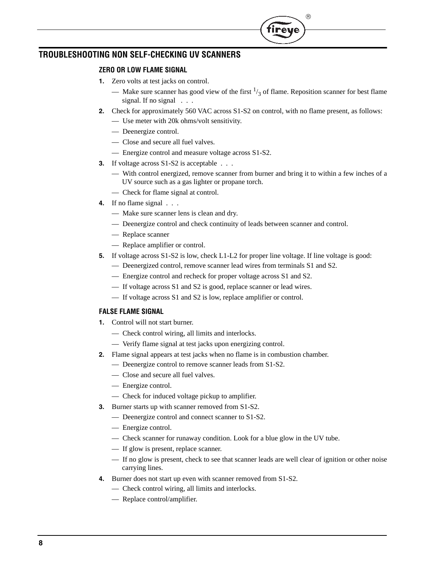# **TROUBLESHOOTING NON SELF-CHECKING UV SCANNERS**

## **ZERO OR LOW FLAME SIGNAL**

- **1.** Zero volts at test jacks on control.
	- Make sure scanner has good view of the first  $\frac{1}{3}$  of flame. Reposition scanner for best flame signal. If no signal . . .
- **2.** Check for approximately 560 VAC across S1-S2 on control, with no flame present, as follows:
	- Use meter with 20k ohms/volt sensitivity.
	- Deenergize control.
	- Close and secure all fuel valves.
	- Energize control and measure voltage across S1-S2.
- **3.** If voltage across S1-S2 is acceptable . . .
	- With control energized, remove scanner from burner and bring it to within a few inches of a UV source such as a gas lighter or propane torch.
	- Check for flame signal at control.
- **4.** If no flame signal . . .
	- Make sure scanner lens is clean and dry.
	- Deenergize control and check continuity of leads between scanner and control.
	- Replace scanner
	- Replace amplifier or control.
- **5.** If voltage across S1-S2 is low, check L1-L2 for proper line voltage. If line voltage is good:
	- Deenergized control, remove scanner lead wires from terminals S1 and S2.
	- Energize control and recheck for proper voltage across S1 and S2.
	- If voltage across S1 and S2 is good, replace scanner or lead wires.
	- If voltage across S1 and S2 is low, replace amplifier or control.

### **FALSE FLAME SIGNAL**

- **1.** Control will not start burner.
	- Check control wiring, all limits and interlocks.
	- Verify flame signal at test jacks upon energizing control.
- **2.** Flame signal appears at test jacks when no flame is in combustion chamber.
	- Deenergize control to remove scanner leads from S1-S2.
	- Close and secure all fuel valves.
	- Energize control.
	- Check for induced voltage pickup to amplifier.
- **3.** Burner starts up with scanner removed from S1-S2.
	- Deenergize control and connect scanner to S1-S2.
	- Energize control.
	- Check scanner for runaway condition. Look for a blue glow in the UV tube.
	- If glow is present, replace scanner.
	- If no glow is present, check to see that scanner leads are well clear of ignition or other noise carrying lines.
- **4.** Burner does not start up even with scanner removed from S1-S2.
	- Check control wiring, all limits and interlocks.
	- Replace control/amplifier.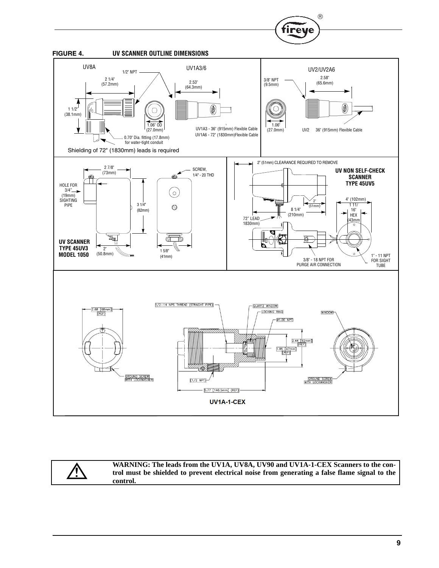



**WARNING: The leads from the UV1A, UV8A, UV90 and UV1A-1-CEX Scanners to the control must be shielded to prevent electrical noise from generating a false flame signal to the control.**